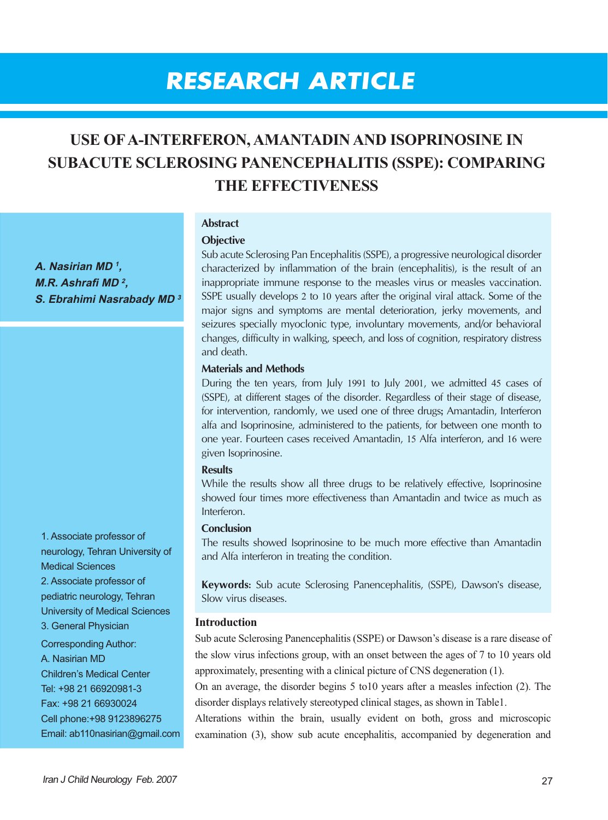# **RESEARCH ARTICLE**

## **USE OF Α-INTERFERON, AMANTADIN AND ISOPRINOSINE IN SUBACUTE SCLEROSING PANENCEPHALITIS (SSPE): COMPARING THE EFFECTIVENESS**

**A. Nasirian MD <sup>1</sup>, M.R. Ashrafi MD <sup>2</sup>, S. Ebrahimi Nasrabady MD <sup>3</sup>**

1. Associate professor of neurology, Tehran University of Medical Sciences 2. Associate professor of pediatric neurology, Tehran University of Medical Sciences 3. General Physician Corresponding Author: A. Nasirian MD Children's Medical Center Tel: +98 21 66920981-3 Fax: +98 21 66930024 Cell phone:+98 9123896275 Email: ab110nasirian@gmail.com

### **Abstract**

#### **Objective**

Sub acute Sclerosing Pan Encephalitis (SSPE), a progressive neurological disorder characterized by inflammation of the brain (encephalitis), is the result of an inappropriate immune response to the measles virus or measles vaccination. SSPE usually develops 2 to 10 years after the original viral attack. Some of the major signs and symptoms are mental deterioration, jerky movements, and seizures specially myoclonic type, involuntary movements, and/or behavioral changes, difficulty in walking, speech, and loss of cognition, respiratory distress and death.

#### **Materials and Methods**

During the ten years, from July 1991 to July 2001, we admitted 45 cases of (SSPE), at different stages of the disorder. Regardless of their stage of disease, for intervention, randomly, we used one of three drugs; Amantadin, Interferon alfa and Isoprinosine, administered to the patients, for between one month to one year. Fourteen cases received Amantadin, 15 Alfa interferon, and 16 were given Isoprinosine.

#### **Results**

While the results show all three drugs to be relatively effective, Isoprinosine showed four times more effectiveness than Amantadin and twice as much as Interferon.

#### **Conclusion**

The results showed Isoprinosine to be much more effective than Amantadin and Alfa interferon in treating the condition.

**Keywords**: Sub acute Sclerosing Panencephalitis, (SSPE), Dawson's disease, Slow virus diseases.

#### **Introduction**

Sub acute Sclerosing Panencephalitis (SSPE) or Dawson's disease is a rare disease of the slow virus infections group, with an onset between the ages of 7 to 10 years old approximately, presenting with a clinical picture of CNS degeneration (1).

On an average, the disorder begins 5 to10 years after a measles infection (2). The disorder displays relatively stereotyped clinical stages, as shown in Table1.

Alterations within the brain, usually evident on both, gross and microscopic examination (3), show sub acute encephalitis, accompanied by degeneration and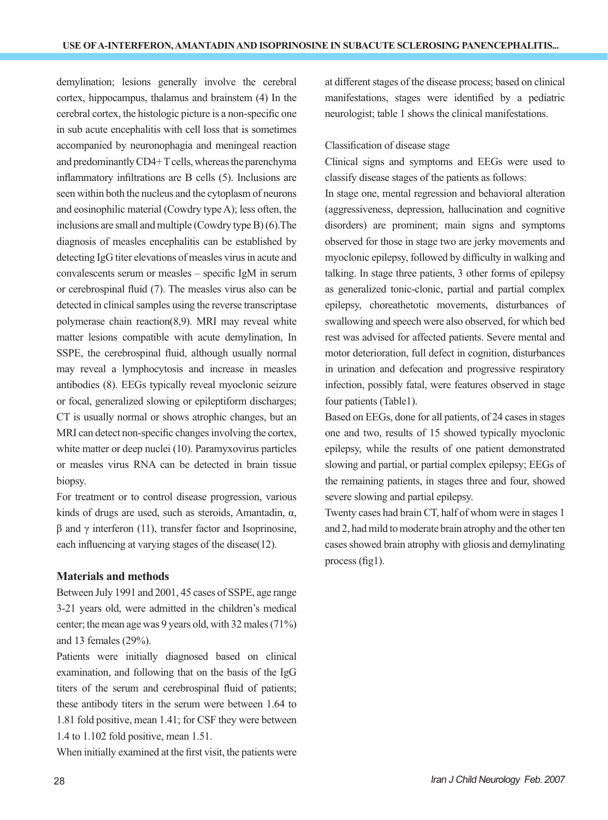demylination; lesions generally involve the cerebral cortex, hippocampus, thalamus and brainstem (4) In the cerebral cortex, the histologic picture is a non-specific one in sub acute encephalitis with cell loss that is sometimes accompanied by neuronophagia and meningeal reaction and predominantly CD4+ T cells, whereas the parenchyma inflammatory infiltrations are B cells (5). Inclusions are seen within both the nucleus and the cytoplasm of neurons and eosinophilic material (Cowdry type A); less often, the inclusions are small and multiple (Cowdry type B) (6).The diagnosis of measles encephalitis can be established by detecting IgG titer elevations of measles virus in acute and convalescents serum or measles – specific IgM in serum or cerebrospinal fluid (7). The measles virus also can be detected in clinical samples using the reverse transcriptase polymerase chain reaction(8,9). MRI may reveal white matter lesions compatible with acute demylination, In SSPE, the cerebrospinal fluid, although usually normal may reveal a lymphocytosis and increase in measles antibodies (8). EEGs typically reveal myoclonic seizure or focal, generalized slowing or epileptiform discharges; CT is usually normal or shows atrophic changes, but an MRI can detect non-specific changes involving the cortex, white matter or deep nuclei (10). Paramyxovirus particles or measles virus RNA can be detected in brain tissue biopsy.

For treatment or to control disease progression, various kinds of drugs are used, such as steroids, Amantadin, α, β and γ interferon (11), transfer factor and Isoprinosine, each influencing at varying stages of the disease(12).

#### **Materials and methods**

Between July 1991 and 2001, 45 cases of SSPE, age range 3-21 years old, were admitted in the children's medical center; the mean age was 9 years old, with 32 males (71%) and 13 females (29%).

Patients were initially diagnosed based on clinical examination, and following that on the basis of the IgG titers of the serum and cerebrospinal fluid of patients; these antibody titers in the serum were between 1.64 to 1.81 fold positive, mean 1.41; for CSF they were between 1.4 to 1.102 fold positive, mean 1.51.

When initially examined at the first visit, the patients were

at different stages of the disease process; based on clinical manifestations, stages were identified by a pediatric neurologist; table 1 shows the clinical manifestations.

#### Classification of disease stage

Clinical signs and symptoms and EEGs were used to classify disease stages of the patients as follows:

In stage one, mental regression and behavioral alteration (aggressiveness, depression, hallucination and cognitive disorders) are prominent; main signs and symptoms observed for those in stage two are jerky movements and myoclonic epilepsy, followed by difficulty in walking and talking. In stage three patients, 3 other forms of epilepsy as generalized tonic-clonic, partial and partial complex epilepsy, choreathetotic movements, disturbances of swallowing and speech were also observed, for which bed rest was advised for affected patients. Severe mental and motor deterioration, full defect in cognition, disturbances in urination and defecation and progressive respiratory infection, possibly fatal, were features observed in stage four patients (Table1).

Based on EEGs, done for all patients, of 24 cases in stages one and two, results of 15 showed typically myoclonic epilepsy, while the results of one patient demonstrated slowing and partial, or partial complex epilepsy; EEGs of the remaining patients, in stages three and four, showed severe slowing and partial epilepsy.

Twenty cases had brain CT, half of whom were in stages 1 and 2, had mild to moderate brain atrophy and the other ten cases showed brain atrophy with gliosis and demylinating process (fig1).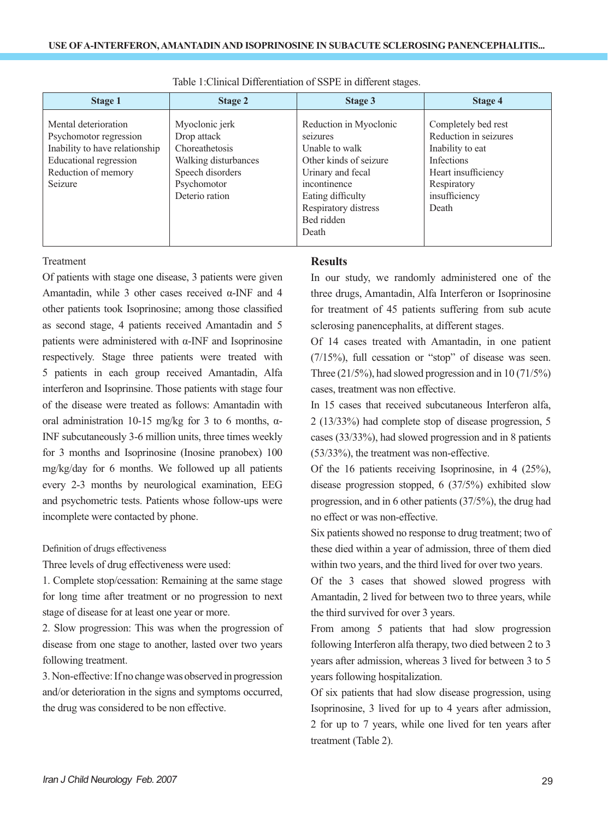| Stage 1                                                                                                                                      | Stage 2                                                                                                                      | Stage 3                                                                                                                                                                                 | Stage 4                                                                                                                                        |
|----------------------------------------------------------------------------------------------------------------------------------------------|------------------------------------------------------------------------------------------------------------------------------|-----------------------------------------------------------------------------------------------------------------------------------------------------------------------------------------|------------------------------------------------------------------------------------------------------------------------------------------------|
| Mental deterioration<br>Psychomotor regression<br>Inability to have relationship<br>Educational regression<br>Reduction of memory<br>Seizure | Myoclonic jerk<br>Drop attack<br>Choreathetosis<br>Walking disturbances<br>Speech disorders<br>Psychomotor<br>Deterio ration | Reduction in Myoclonic<br>seizures<br>Unable to walk<br>Other kinds of seizure<br>Urinary and fecal<br>incontinence<br>Eating difficulty<br>Respiratory distress<br>Bed ridden<br>Death | Completely bed rest<br>Reduction in seizures<br>Inability to eat<br>Infections<br>Heart insufficiency<br>Respiratory<br>insufficiency<br>Death |

Table 1:Clinical Differentiation of SSPE in different stages.

#### Treatment

Of patients with stage one disease, 3 patients were given Amantadin, while 3 other cases received α-INF and 4 other patients took Isoprinosine; among those classified as second stage, 4 patients received Amantadin and 5 patients were administered with α-INF and Isoprinosine respectively. Stage three patients were treated with 5 patients in each group received Amantadin, Alfa interferon and Isoprinsine. Those patients with stage four of the disease were treated as follows: Amantadin with oral administration 10-15 mg/kg for 3 to 6 months,  $\alpha$ -INF subcutaneously 3-6 million units, three times weekly for 3 months and Isoprinosine (Inosine pranobex) 100 mg/kg/day for 6 months. We followed up all patients every 2-3 months by neurological examination, EEG and psychometric tests. Patients whose follow-ups were incomplete were contacted by phone.

Definition of drugs effectiveness

Three levels of drug effectiveness were used:

1. Complete stop/cessation: Remaining at the same stage for long time after treatment or no progression to next stage of disease for at least one year or more.

2. Slow progression: This was when the progression of disease from one stage to another, lasted over two years following treatment.

3. Non-effective: If no change was observed in progression and/or deterioration in the signs and symptoms occurred, the drug was considered to be non effective.

#### **Results**

In our study, we randomly administered one of the three drugs, Amantadin, Alfa Interferon or Isoprinosine for treatment of 45 patients suffering from sub acute sclerosing panencephalits, at different stages.

Of 14 cases treated with Amantadin, in one patient (7/15%), full cessation or "stop" of disease was seen. Three  $(21/5\%)$ , had slowed progression and in 10 (71/5%) cases, treatment was non effective.

In 15 cases that received subcutaneous Interferon alfa, 2 (13/33%) had complete stop of disease progression, 5 cases (33/33%), had slowed progression and in 8 patients (53/33%), the treatment was non-effective.

Of the 16 patients receiving Isoprinosine, in 4 (25%), disease progression stopped, 6 (37/5%) exhibited slow progression, and in 6 other patients (37/5%), the drug had no effect or was non-effective.

Six patients showed no response to drug treatment; two of these died within a year of admission, three of them died within two years, and the third lived for over two years.

Of the 3 cases that showed slowed progress with Amantadin, 2 lived for between two to three years, while the third survived for over 3 years.

From among 5 patients that had slow progression following Interferon alfa therapy, two died between 2 to 3 years after admission, whereas 3 lived for between 3 to 5 years following hospitalization.

Of six patients that had slow disease progression, using Isoprinosine, 3 lived for up to 4 years after admission, 2 for up to 7 years, while one lived for ten years after treatment (Table 2).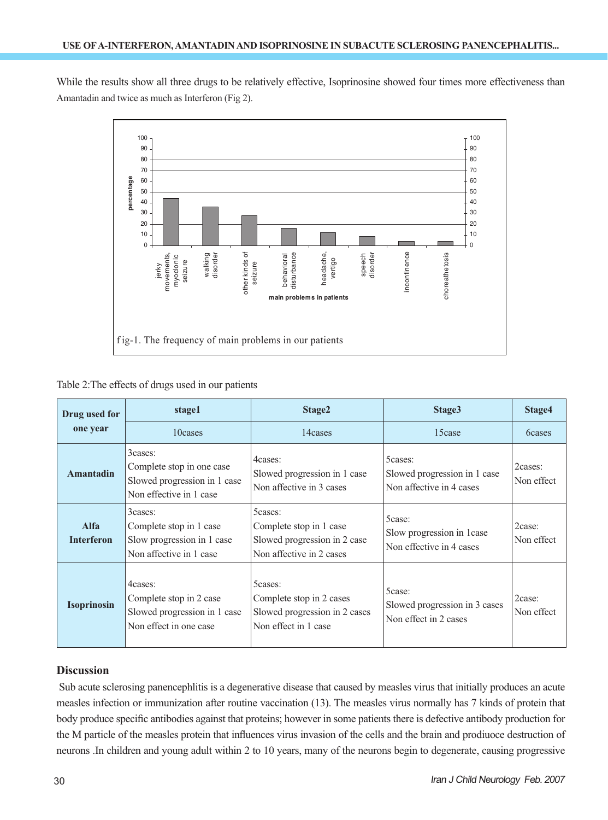While the results show all three drugs to be relatively effective, Isoprinosine showed four times more effectiveness than Amantadin and twice as much as Interferon (Fig 2).



Table 2:The effects of drugs used in our patients

| Drug used for                    | stage1                                                                                           | Stage2                                                                                         | Stage3                                                              | Stage4                |
|----------------------------------|--------------------------------------------------------------------------------------------------|------------------------------------------------------------------------------------------------|---------------------------------------------------------------------|-----------------------|
| one year                         | 10cases                                                                                          | 14 cases                                                                                       | 15case                                                              |                       |
| Amantadin                        | 3 cases:<br>Complete stop in one case<br>Slowed progression in 1 case<br>Non effective in 1 case | 4cases:<br>Slowed progression in 1 case<br>Non affective in 3 cases                            | 5cases:<br>Slowed progression in 1 case<br>Non affective in 4 cases | 2cases:<br>Non effect |
| <b>Alfa</b><br><b>Interferon</b> | 3 cases:<br>Complete stop in 1 case<br>Slow progression in 1 case<br>Non affective in 1 case     | 5cases:<br>Complete stop in 1 case<br>Slowed progression in 2 case<br>Non affective in 2 cases | 5case:<br>Slow progression in 1 case<br>Non effective in 4 cases    | 2case:<br>Non effect  |
| <b>Isoprinosin</b>               | 4 cases:<br>Complete stop in 2 case<br>Slowed progression in 1 case<br>Non effect in one case    | 5 cases:<br>Complete stop in 2 cases<br>Slowed progression in 2 cases<br>Non effect in 1 case  | 5case:<br>Slowed progression in 3 cases<br>Non effect in 2 cases    | 2case:<br>Non effect  |

#### **Discussion**

 Sub acute sclerosing panencephlitis is a degenerative disease that caused by measles virus that initially produces an acute measles infection or immunization after routine vaccination (13). The measles virus normally has 7 kinds of protein that body produce specific antibodies against that proteins; however in some patients there is defective antibody production for the M particle of the measles protein that influences virus invasion of the cells and the brain and prodiuoce destruction of neurons .In children and young adult within 2 to 10 years, many of the neurons begin to degenerate, causing progressive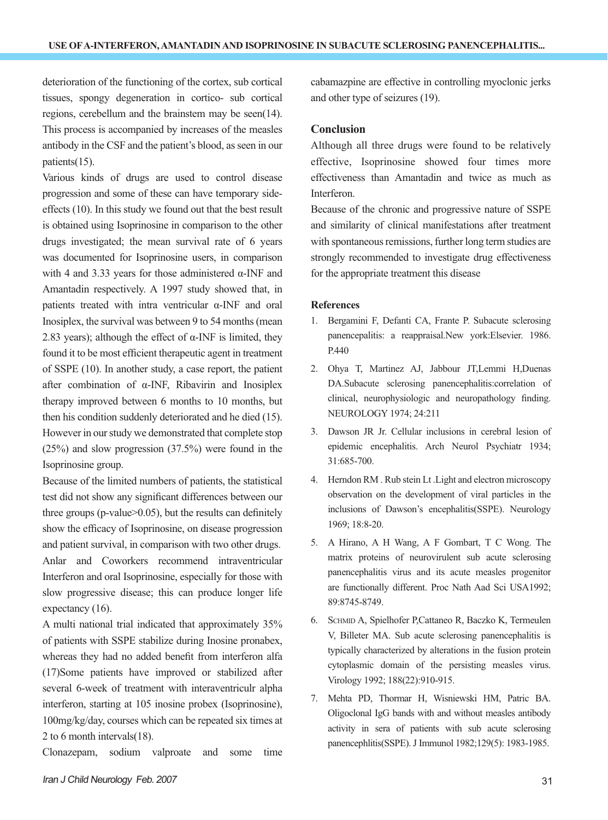deterioration of the functioning of the cortex, sub cortical tissues, spongy degeneration in cortico- sub cortical regions, cerebellum and the brainstem may be seen(14). This process is accompanied by increases of the measles antibody in the CSF and the patient's blood, as seen in our patients(15).

Various kinds of drugs are used to control disease progression and some of these can have temporary sideeffects (10). In this study we found out that the best result is obtained using Isoprinosine in comparison to the other drugs investigated; the mean survival rate of 6 years was documented for Isoprinosine users, in comparison with 4 and 3.33 years for those administered  $\alpha$ -INF and Amantadin respectively. A 1997 study showed that, in patients treated with intra ventricular α-INF and oral Inosiplex, the survival was between 9 to 54 months (mean 2.83 years); although the effect of  $\alpha$ -INF is limited, they found it to be most efficient therapeutic agent in treatment of SSPE (10). In another study, a case report, the patient after combination of α-INF, Ribavirin and Inosiplex therapy improved between 6 months to 10 months, but then his condition suddenly deteriorated and he died (15). However in our study we demonstrated that complete stop (25%) and slow progression (37.5%) were found in the Isoprinosine group.

Because of the limited numbers of patients, the statistical test did not show any significant differences between our three groups (p-value>0.05), but the results can definitely show the efficacy of Isoprinosine, on disease progression and patient survival, in comparison with two other drugs. Anlar and Coworkers recommend intraventricular Interferon and oral Isoprinosine, especially for those with slow progressive disease; this can produce longer life expectancy (16).

A multi national trial indicated that approximately 35% of patients with SSPE stabilize during Inosine pronabex, whereas they had no added benefit from interferon alfa (17)Some patients have improved or stabilized after several 6-week of treatment with interaventriculr alpha interferon, starting at 105 inosine probex (Isoprinosine), 100mg/kg/day, courses which can be repeated six times at 2 to 6 month intervals(18).

Clonazepam, sodium valproate and some time

cabamazpine are effective in controlling myoclonic jerks and other type of seizures (19).

#### **Conclusion**

Although all three drugs were found to be relatively effective, Isoprinosine showed four times more effectiveness than Amantadin and twice as much as Interferon.

Because of the chronic and progressive nature of SSPE and similarity of clinical manifestations after treatment with spontaneous remissions, further long term studies are strongly recommended to investigate drug effectiveness for the appropriate treatment this disease

#### **References**

- 1. Bergamini F, Defanti CA, Frante P. Subacute sclerosing panencepalitis: a reappraisal.New york:Elsevier. 1986. P.440
- 2. Ohya T, Martinez AJ, Jabbour JT,Lemmi H,Duenas DA.Subacute sclerosing panencephalitis:correlation of clinical, neurophysiologic and neuropathology finding. NEUROLOGY 1974; 24:211
- 3. Dawson JR Jr. Cellular inclusions in cerebral lesion of epidemic encephalitis. Arch Neurol Psychiatr 1934; 31:685-700.
- 4. Herndon RM . Rub stein Lt .Light and electron microscopy observation on the development of viral particles in the inclusions of Dawson's encephalitis(SSPE). Neurology 1969; 18:8-20.
- 5. A Hirano, A H Wang, A F Gombart, T C Wong. The matrix proteins of neurovirulent sub acute sclerosing panencephalitis virus and its acute measles progenitor are functionally different. Proc Nath Aad Sci USA1992; 89:8745-8749.
- 6. SCHMID A, Spielhofer P,Cattaneo R, Baczko K, Termeulen V, Billeter MA. Sub acute sclerosing panencephalitis is typically characterized by alterations in the fusion protein cytoplasmic domain of the persisting measles virus. Virology 1992; 188(22):910-915.
- 7. Mehta PD, Thormar H, Wisniewski HM, Patric BA. Oligoclonal IgG bands with and without measles antibody activity in sera of patients with sub acute sclerosing panencephlitis(SSPE). J Immunol 1982;129(5): 1983-1985.